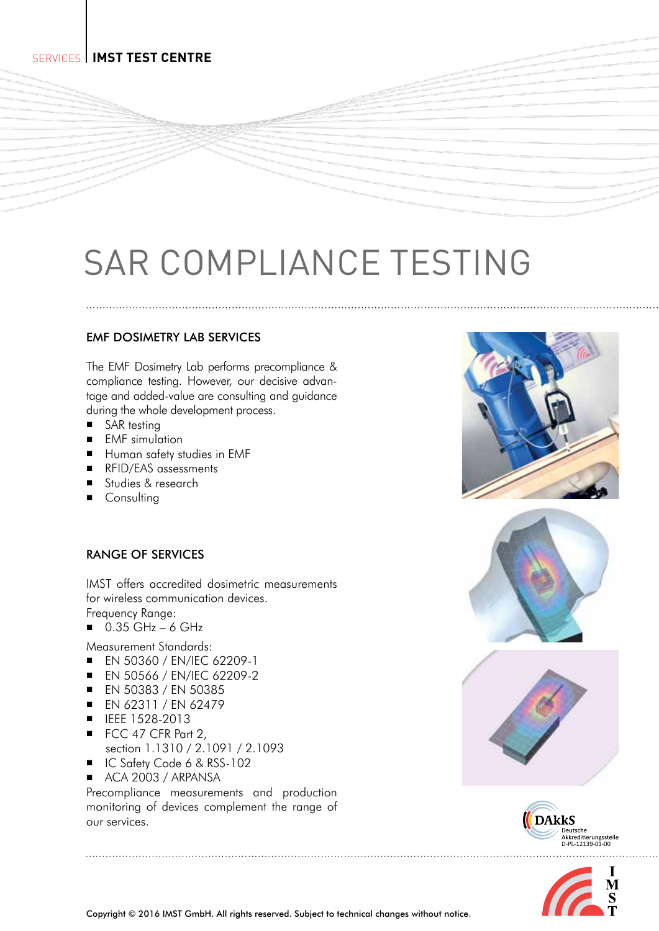# SAR COMPLIANCE TESTING

## EMF DOSIMETRY LAB SERVICES

The EMF Dosimetry Lab performs precompliance & compliance testing. However, our decisive advantage and added-value are consulting and guidance during the whole development process.

- SAR testing
- **EMF** simulation
- **Human safety studies in EMF**
- RFID/EAS assessments
- Studies & research
- **Consulting**

## RANGE OF SERVICES

IMST offers accredited dosimetric measurements for wireless communication devices. Frequency Range:

- $\Box$  0.35 GHz 6 GHz
- Measurement Standards:

**E** FN 50360 / FN/IFC 62209-1

- **EN 50566 / EN/IEC 62209-2**
- 
- **EN 50383 / EN 50385**
- $\blacksquare$  EN 62311 / EN 62479
- IEEE 1528-2013
- FCC 47 CFR Part 2, section 1.1310 / 2.1091 / 2.1093
- IC Safety Code 6 & RSS-102
- ACA 2003 / ARPANSA

Precompliance measurements and production monitoring of devices complement the range of our services.